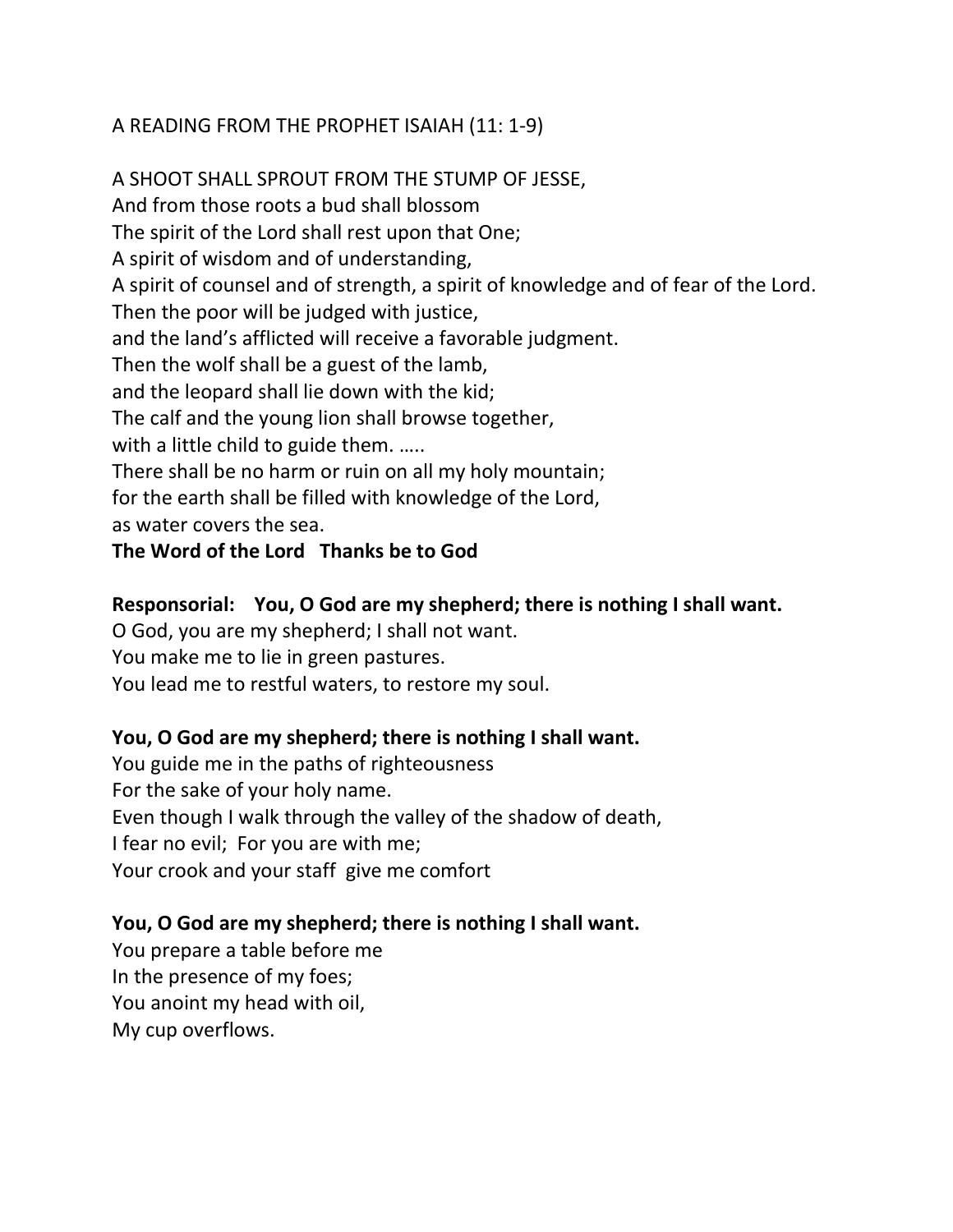## A READING FROM THE PROPHET ISAIAH (11: 1-9)

A SHOOT SHALL SPROUT FROM THE STUMP OF JESSE, And from those roots a bud shall blossom The spirit of the Lord shall rest upon that One; A spirit of wisdom and of understanding, A spirit of counsel and of strength, a spirit of knowledge and of fear of the Lord. Then the poor will be judged with justice, and the land's afflicted will receive a favorable judgment. Then the wolf shall be a guest of the lamb, and the leopard shall lie down with the kid; The calf and the young lion shall browse together, with a little child to guide them. ..... There shall be no harm or ruin on all my holy mountain; for the earth shall be filled with knowledge of the Lord, as water covers the sea.

## **The Word of the Lord Thanks be to God**

### **Responsorial: You, O God are my shepherd; there is nothing I shall want.**

O God, you are my shepherd; I shall not want.

You make me to lie in green pastures.

You lead me to restful waters, to restore my soul.

## **You, O God are my shepherd; there is nothing I shall want.**

You guide me in the paths of righteousness For the sake of your holy name. Even though I walk through the valley of the shadow of death, I fear no evil; For you are with me; Your crook and your staff give me comfort

## **You, O God are my shepherd; there is nothing I shall want.**

You prepare a table before me In the presence of my foes; You anoint my head with oil, My cup overflows.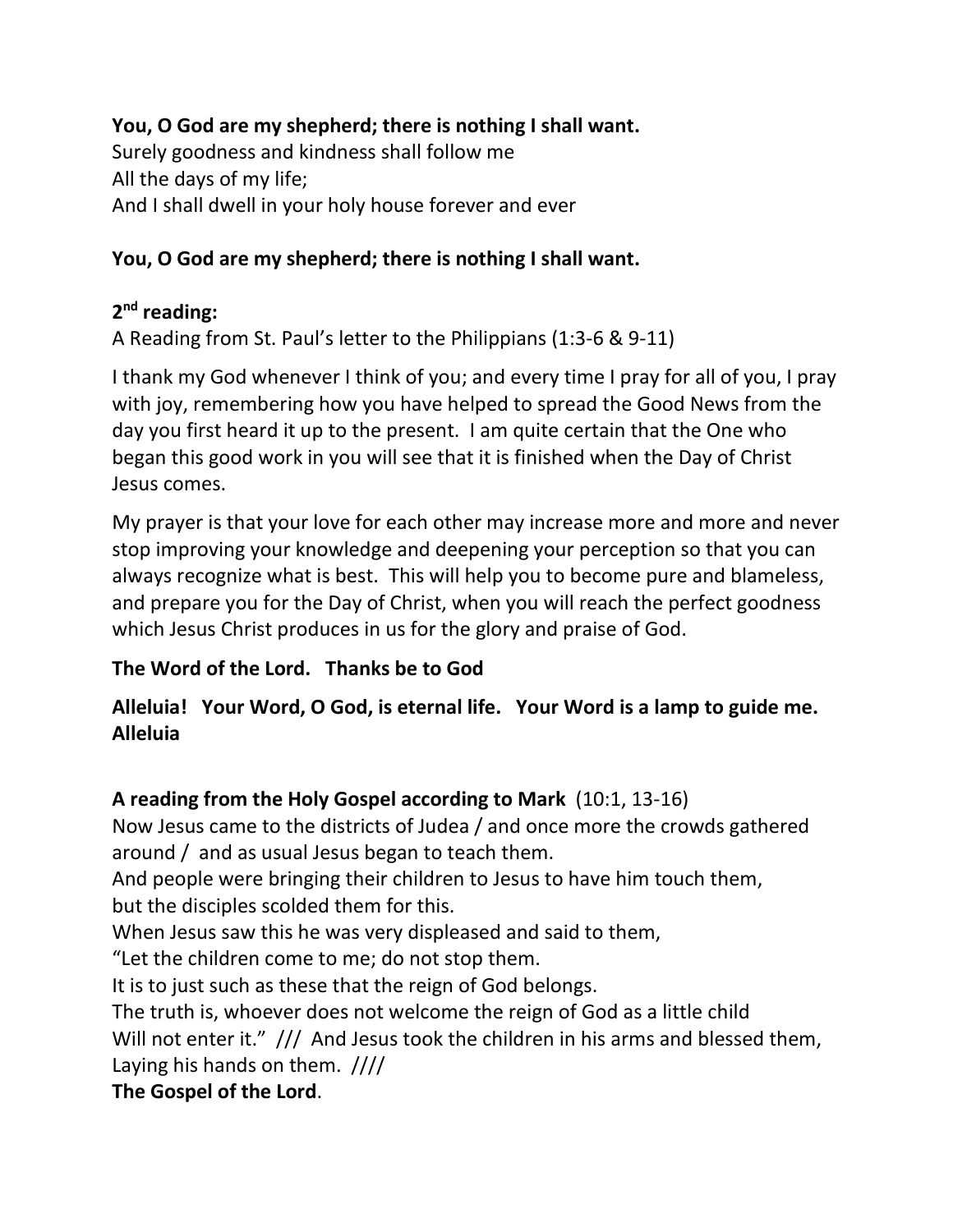# **You, O God are my shepherd; there is nothing I shall want.**

Surely goodness and kindness shall follow me All the days of my life; And I shall dwell in your holy house forever and ever

## **You, O God are my shepherd; there is nothing I shall want.**

## **2nd reading:**

A Reading from St. Paul's letter to the Philippians (1:3-6 & 9-11)

I thank my God whenever I think of you; and every time I pray for all of you, I pray with joy, remembering how you have helped to spread the Good News from the day you first heard it up to the present. I am quite certain that the One who began this good work in you will see that it is finished when the Day of Christ Jesus comes.

My prayer is that your love for each other may increase more and more and never stop improving your knowledge and deepening your perception so that you can always recognize what is best. This will help you to become pure and blameless, and prepare you for the Day of Christ, when you will reach the perfect goodness which Jesus Christ produces in us for the glory and praise of God.

# **The Word of the Lord. Thanks be to God**

# **Alleluia! Your Word, O God, is eternal life. Your Word is a lamp to guide me. Alleluia**

# **A reading from the Holy Gospel according to Mark** (10:1, 13-16)

Now Jesus came to the districts of Judea / and once more the crowds gathered around / and as usual Jesus began to teach them.

And people were bringing their children to Jesus to have him touch them, but the disciples scolded them for this.

When Jesus saw this he was very displeased and said to them,

"Let the children come to me; do not stop them.

It is to just such as these that the reign of God belongs.

The truth is, whoever does not welcome the reign of God as a little child Will not enter it." /// And Jesus took the children in his arms and blessed them, Laying his hands on them. ////

# **The Gospel of the Lord**.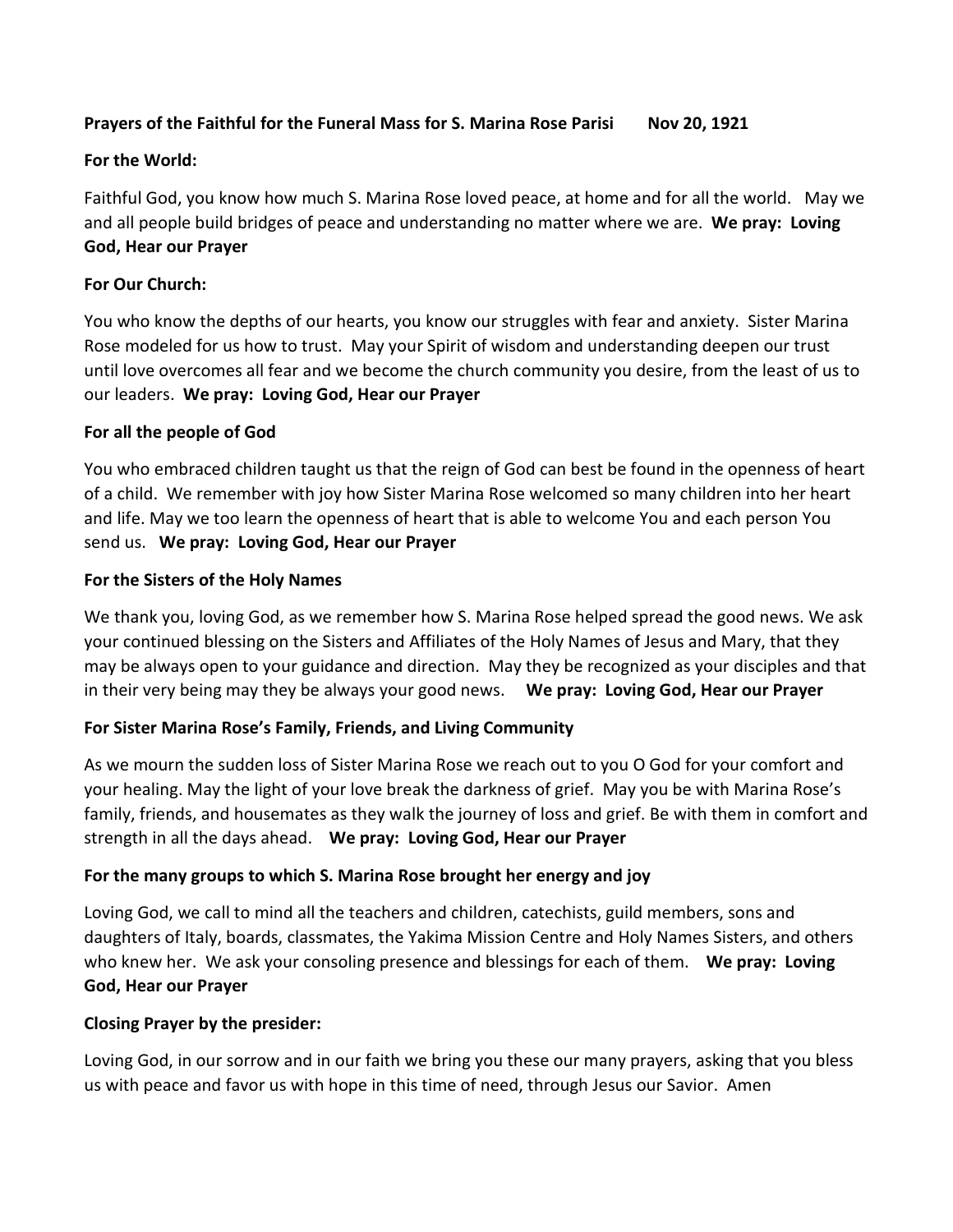#### **Prayers of the Faithful for the Funeral Mass for S. Marina Rose Parisi Nov 20, 1921**

#### **For the World:**

Faithful God, you know how much S. Marina Rose loved peace, at home and for all the world. May we and all people build bridges of peace and understanding no matter where we are. **We pray: Loving God, Hear our Prayer**

#### **For Our Church:**

You who know the depths of our hearts, you know our struggles with fear and anxiety. Sister Marina Rose modeled for us how to trust. May your Spirit of wisdom and understanding deepen our trust until love overcomes all fear and we become the church community you desire, from the least of us to our leaders. **We pray: Loving God, Hear our Prayer**

#### **For all the people of God**

You who embraced children taught us that the reign of God can best be found in the openness of heart of a child. We remember with joy how Sister Marina Rose welcomed so many children into her heart and life. May we too learn the openness of heart that is able to welcome You and each person You send us. **We pray: Loving God, Hear our Prayer**

#### **For the Sisters of the Holy Names**

We thank you, loving God, as we remember how S. Marina Rose helped spread the good news. We ask your continued blessing on the Sisters and Affiliates of the Holy Names of Jesus and Mary, that they may be always open to your guidance and direction. May they be recognized as your disciples and that in their very being may they be always your good news. **We pray: Loving God, Hear our Prayer**

### **For Sister Marina Rose's Family, Friends, and Living Community**

As we mourn the sudden loss of Sister Marina Rose we reach out to you O God for your comfort and your healing. May the light of your love break the darkness of grief. May you be with Marina Rose's family, friends, and housemates as they walk the journey of loss and grief. Be with them in comfort and strength in all the days ahead. **We pray: Loving God, Hear our Prayer**

#### **For the many groups to which S. Marina Rose brought her energy and joy**

Loving God, we call to mind all the teachers and children, catechists, guild members, sons and daughters of Italy, boards, classmates, the Yakima Mission Centre and Holy Names Sisters, and others who knew her. We ask your consoling presence and blessings for each of them. **We pray: Loving God, Hear our Prayer**

#### **Closing Prayer by the presider:**

Loving God, in our sorrow and in our faith we bring you these our many prayers, asking that you bless us with peace and favor us with hope in this time of need, through Jesus our Savior. Amen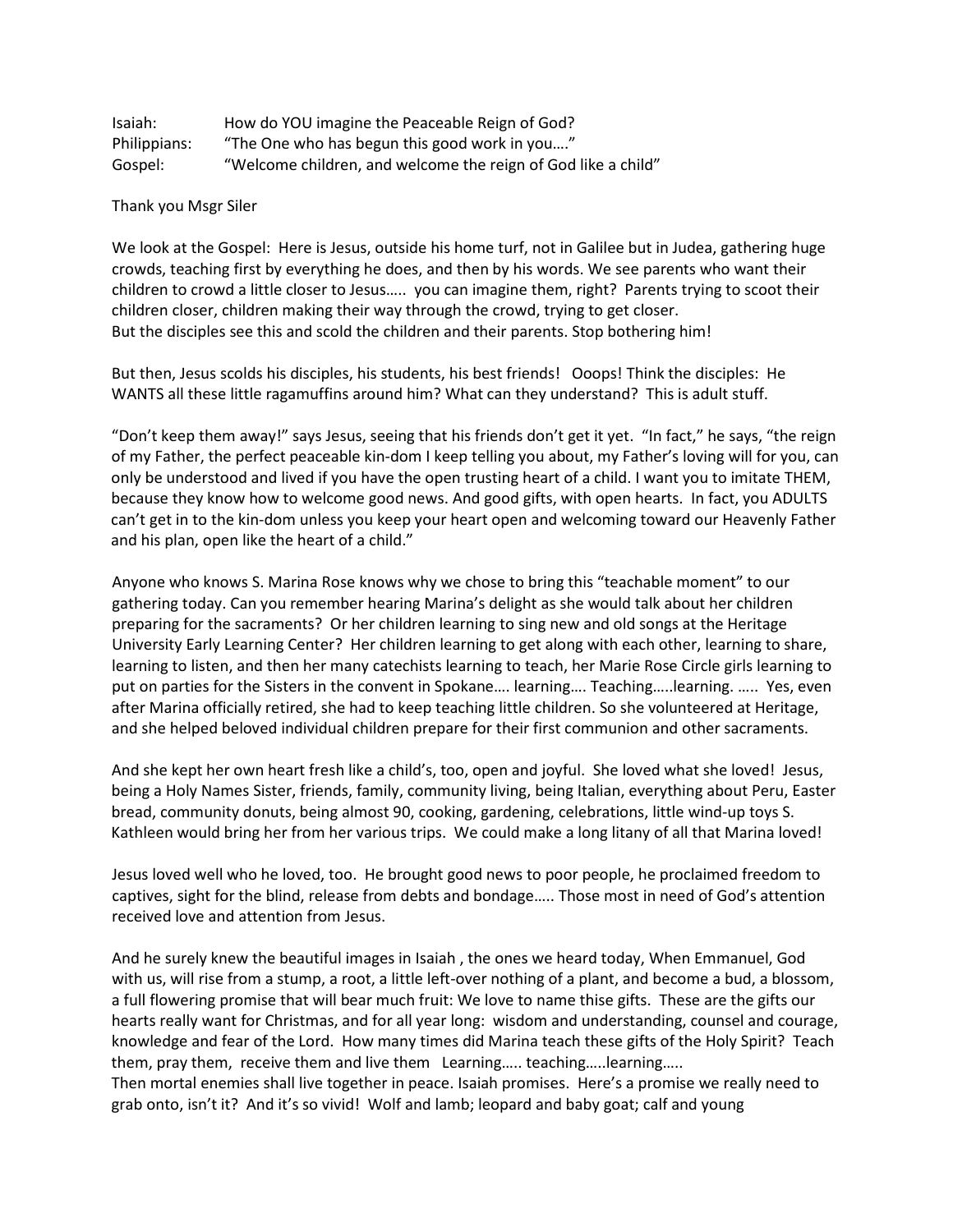| Isaiah:      | How do YOU imagine the Peaceable Reign of God?                |
|--------------|---------------------------------------------------------------|
| Philippians: | "The One who has begun this good work in you"                 |
| Gospel:      | "Welcome children, and welcome the reign of God like a child" |

Thank you Msgr Siler

We look at the Gospel: Here is Jesus, outside his home turf, not in Galilee but in Judea, gathering huge crowds, teaching first by everything he does, and then by his words. We see parents who want their children to crowd a little closer to Jesus….. you can imagine them, right? Parents trying to scoot their children closer, children making their way through the crowd, trying to get closer. But the disciples see this and scold the children and their parents. Stop bothering him!

But then, Jesus scolds his disciples, his students, his best friends! Ooops! Think the disciples: He WANTS all these little ragamuffins around him? What can they understand? This is adult stuff.

"Don't keep them away!" says Jesus, seeing that his friends don't get it yet. "In fact," he says, "the reign of my Father, the perfect peaceable kin-dom I keep telling you about, my Father's loving will for you, can only be understood and lived if you have the open trusting heart of a child. I want you to imitate THEM, because they know how to welcome good news. And good gifts, with open hearts. In fact, you ADULTS can't get in to the kin-dom unless you keep your heart open and welcoming toward our Heavenly Father and his plan, open like the heart of a child."

Anyone who knows S. Marina Rose knows why we chose to bring this "teachable moment" to our gathering today. Can you remember hearing Marina's delight as she would talk about her children preparing for the sacraments? Or her children learning to sing new and old songs at the Heritage University Early Learning Center? Her children learning to get along with each other, learning to share, learning to listen, and then her many catechists learning to teach, her Marie Rose Circle girls learning to put on parties for the Sisters in the convent in Spokane…. learning…. Teaching…..learning. ….. Yes, even after Marina officially retired, she had to keep teaching little children. So she volunteered at Heritage, and she helped beloved individual children prepare for their first communion and other sacraments.

And she kept her own heart fresh like a child's, too, open and joyful. She loved what she loved! Jesus, being a Holy Names Sister, friends, family, community living, being Italian, everything about Peru, Easter bread, community donuts, being almost 90, cooking, gardening, celebrations, little wind-up toys S. Kathleen would bring her from her various trips. We could make a long litany of all that Marina loved!

Jesus loved well who he loved, too. He brought good news to poor people, he proclaimed freedom to captives, sight for the blind, release from debts and bondage….. Those most in need of God's attention received love and attention from Jesus.

And he surely knew the beautiful images in Isaiah , the ones we heard today, When Emmanuel, God with us, will rise from a stump, a root, a little left-over nothing of a plant, and become a bud, a blossom, a full flowering promise that will bear much fruit: We love to name thise gifts. These are the gifts our hearts really want for Christmas, and for all year long: wisdom and understanding, counsel and courage, knowledge and fear of the Lord. How many times did Marina teach these gifts of the Holy Spirit? Teach them, pray them, receive them and live them Learning….. teaching…..learning….. Then mortal enemies shall live together in peace. Isaiah promises. Here's a promise we really need to grab onto, isn't it? And it's so vivid! Wolf and lamb; leopard and baby goat; calf and young